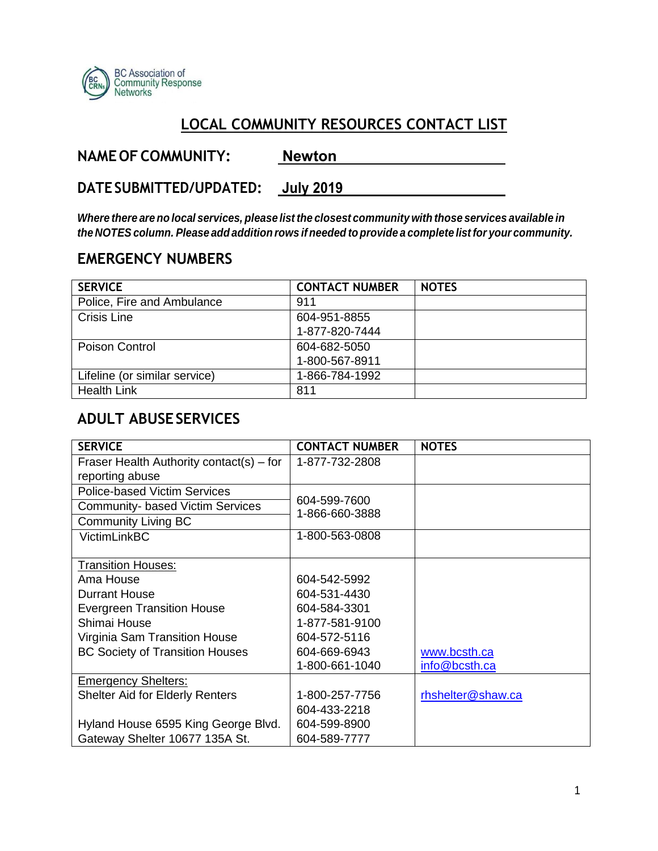

#### **LOCAL COMMUNITY RESOURCES CONTACT LIST**

| <b>NAME OF COMMUNITY:</b> | <b>Newton</b> |
|---------------------------|---------------|
|                           |               |

**DATE SUBMITTED/UPDATED: July 2019**

*Where there are no local services, please list the closest community with those services available in the NOTES column. Please add addition rows if needed to provide a complete list for your community.*

#### **EMERGENCY NUMBERS**

| <b>SERVICE</b>                | <b>CONTACT NUMBER</b> | <b>NOTES</b> |
|-------------------------------|-----------------------|--------------|
| Police, Fire and Ambulance    | 911                   |              |
| Crisis Line                   | 604-951-8855          |              |
|                               | 1-877-820-7444        |              |
| <b>Poison Control</b>         | 604-682-5050          |              |
|                               | 1-800-567-8911        |              |
| Lifeline (or similar service) | 1-866-784-1992        |              |
| <b>Health Link</b>            | 811                   |              |

#### **ADULT ABUSE SERVICES**

| <b>SERVICE</b>                           | <b>CONTACT NUMBER</b> | <b>NOTES</b>      |
|------------------------------------------|-----------------------|-------------------|
| Fraser Health Authority contact(s) – for | 1-877-732-2808        |                   |
| reporting abuse                          |                       |                   |
| <b>Police-based Victim Services</b>      |                       |                   |
| <b>Community- based Victim Services</b>  | 604-599-7600          |                   |
| <b>Community Living BC</b>               | 1-866-660-3888        |                   |
| <b>VictimLinkBC</b>                      | 1-800-563-0808        |                   |
|                                          |                       |                   |
| <b>Transition Houses:</b>                |                       |                   |
| Ama House                                | 604-542-5992          |                   |
| <b>Durrant House</b>                     | 604-531-4430          |                   |
| <b>Evergreen Transition House</b>        | 604-584-3301          |                   |
| Shimai House                             | 1-877-581-9100        |                   |
| Virginia Sam Transition House            | 604-572-5116          |                   |
| <b>BC Society of Transition Houses</b>   | 604-669-6943          | www.bcsth.ca      |
|                                          | 1-800-661-1040        | info@bcsth.ca     |
| <b>Emergency Shelters:</b>               |                       |                   |
| <b>Shelter Aid for Elderly Renters</b>   | 1-800-257-7756        | rhshelter@shaw.ca |
|                                          | 604-433-2218          |                   |
| Hyland House 6595 King George Blvd.      | 604-599-8900          |                   |
| Gateway Shelter 10677 135A St.           | 604-589-7777          |                   |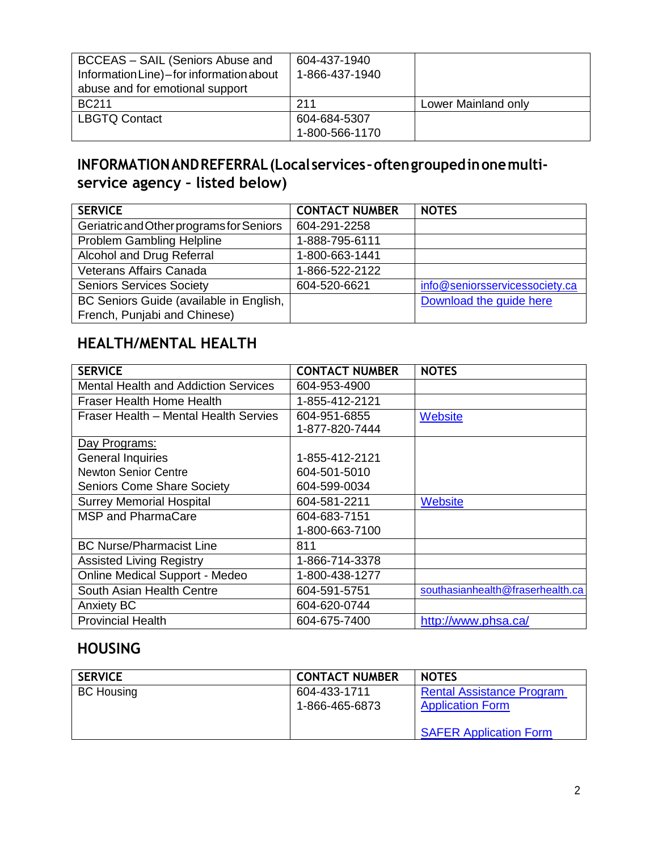| BCCEAS - SAIL (Seniors Abuse and<br>Information Line)-for information about<br>abuse and for emotional support | 604-437-1940<br>1-866-437-1940 |                     |
|----------------------------------------------------------------------------------------------------------------|--------------------------------|---------------------|
| <b>BC211</b>                                                                                                   | 211                            | Lower Mainland only |
| <b>LBGTQ Contact</b>                                                                                           | 604-684-5307                   |                     |
|                                                                                                                | 1-800-566-1170                 |                     |

#### **INFORMATION AND REFERRAL (Local services – often grouped in one multiservice agency – listed below)**

| <b>SERVICE</b>                                                          | <b>CONTACT NUMBER</b> | <b>NOTES</b>                   |
|-------------------------------------------------------------------------|-----------------------|--------------------------------|
| Geriatric and Other programs for Seniors                                | 604-291-2258          |                                |
| Problem Gambling Helpline                                               | 1-888-795-6111        |                                |
| Alcohol and Drug Referral                                               | 1-800-663-1441        |                                |
| Veterans Affairs Canada                                                 | 1-866-522-2122        |                                |
| <b>Seniors Services Society</b>                                         | 604-520-6621          | info@seniorsservicessociety.ca |
| BC Seniors Guide (available in English,<br>French, Punjabi and Chinese) |                       | Download the quide here        |

### **HEALTH/MENTAL HEALTH**

| <b>SERVICE</b>                              | <b>CONTACT NUMBER</b> | <b>NOTES</b>                     |
|---------------------------------------------|-----------------------|----------------------------------|
| <b>Mental Health and Addiction Services</b> | 604-953-4900          |                                  |
| <b>Fraser Health Home Health</b>            | 1-855-412-2121        |                                  |
| Fraser Health - Mental Health Servies       | 604-951-6855          | <b>Website</b>                   |
|                                             | 1-877-820-7444        |                                  |
| Day Programs:                               |                       |                                  |
| <b>General Inquiries</b>                    | 1-855-412-2121        |                                  |
| <b>Newton Senior Centre</b>                 | 604-501-5010          |                                  |
| <b>Seniors Come Share Society</b>           | 604-599-0034          |                                  |
| <b>Surrey Memorial Hospital</b>             | 604-581-2211          | <b>Website</b>                   |
| <b>MSP and PharmaCare</b>                   | 604-683-7151          |                                  |
|                                             | 1-800-663-7100        |                                  |
| <b>BC Nurse/Pharmacist Line</b>             | 811                   |                                  |
| <b>Assisted Living Registry</b>             | 1-866-714-3378        |                                  |
| <b>Online Medical Support - Medeo</b>       | 1-800-438-1277        |                                  |
| South Asian Health Centre                   | 604-591-5751          | southasianhealth@fraserhealth.ca |
| <b>Anxiety BC</b>                           | 604-620-0744          |                                  |
| <b>Provincial Health</b>                    | 604-675-7400          | http://www.phsa.ca/              |

### **HOUSING**

| <b>SERVICE</b>    | <b>CONTACT NUMBER</b>          | <b>NOTES</b>                                                |
|-------------------|--------------------------------|-------------------------------------------------------------|
| <b>BC Housing</b> | 604-433-1711<br>1-866-465-6873 | <b>Rental Assistance Program</b><br><b>Application Form</b> |
|                   |                                | <b>SAFER Application Form</b>                               |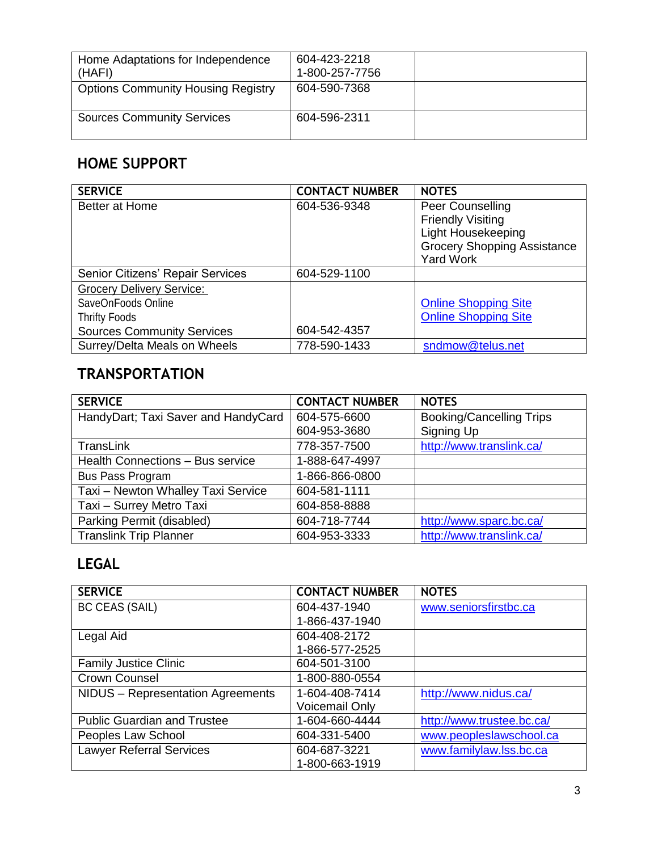| Home Adaptations for Independence<br>(HAFI) | 604-423-2218<br>1-800-257-7756 |  |
|---------------------------------------------|--------------------------------|--|
| <b>Options Community Housing Registry</b>   | 604-590-7368                   |  |
| <b>Sources Community Services</b>           | 604-596-2311                   |  |

# **HOME SUPPORT**

| <b>SERVICE</b>                    | <b>CONTACT NUMBER</b> | <b>NOTES</b>                       |
|-----------------------------------|-----------------------|------------------------------------|
| Better at Home                    | 604-536-9348          | Peer Counselling                   |
|                                   |                       | <b>Friendly Visiting</b>           |
|                                   |                       | <b>Light Housekeeping</b>          |
|                                   |                       | <b>Grocery Shopping Assistance</b> |
|                                   |                       | <b>Yard Work</b>                   |
| Senior Citizens' Repair Services  | 604-529-1100          |                                    |
| <b>Grocery Delivery Service:</b>  |                       |                                    |
| SaveOnFoods Online                |                       | <b>Online Shopping Site</b>        |
| <b>Thrifty Foods</b>              |                       | <b>Online Shopping Site</b>        |
| <b>Sources Community Services</b> | 604-542-4357          |                                    |
| Surrey/Delta Meals on Wheels      | 778-590-1433          | sndmow@telus.net                   |

## **TRANSPORTATION**

| <b>SERVICE</b>                      | <b>CONTACT NUMBER</b> | <b>NOTES</b>                    |
|-------------------------------------|-----------------------|---------------------------------|
| HandyDart; Taxi Saver and HandyCard | 604-575-6600          | <b>Booking/Cancelling Trips</b> |
|                                     | 604-953-3680          | Signing Up                      |
| <b>TransLink</b>                    | 778-357-7500          | http://www.translink.ca/        |
| Health Connections - Bus service    | 1-888-647-4997        |                                 |
| <b>Bus Pass Program</b>             | 1-866-866-0800        |                                 |
| Taxi - Newton Whalley Taxi Service  | 604-581-1111          |                                 |
| Taxi - Surrey Metro Taxi            | 604-858-8888          |                                 |
| Parking Permit (disabled)           | 604-718-7744          | http://www.sparc.bc.ca/         |
| <b>Translink Trip Planner</b>       | 604-953-3333          | http://www.translink.ca/        |

## **LEGAL**

| <b>SERVICE</b>                     | <b>CONTACT NUMBER</b> | <b>NOTES</b>              |
|------------------------------------|-----------------------|---------------------------|
| <b>BC CEAS (SAIL)</b>              | 604-437-1940          | www.seniorsfirstbc.ca     |
|                                    | 1-866-437-1940        |                           |
| Legal Aid                          | 604-408-2172          |                           |
|                                    | 1-866-577-2525        |                           |
| <b>Family Justice Clinic</b>       | 604-501-3100          |                           |
| Crown Counsel                      | 1-800-880-0554        |                           |
| NIDUS - Representation Agreements  | 1-604-408-7414        | http://www.nidus.ca/      |
|                                    | <b>Voicemail Only</b> |                           |
| <b>Public Guardian and Trustee</b> | 1-604-660-4444        | http://www.trustee.bc.ca/ |
| Peoples Law School                 | 604-331-5400          | www.peopleslawschool.ca   |
| <b>Lawyer Referral Services</b>    | 604-687-3221          | www.familylaw.lss.bc.ca   |
|                                    | 1-800-663-1919        |                           |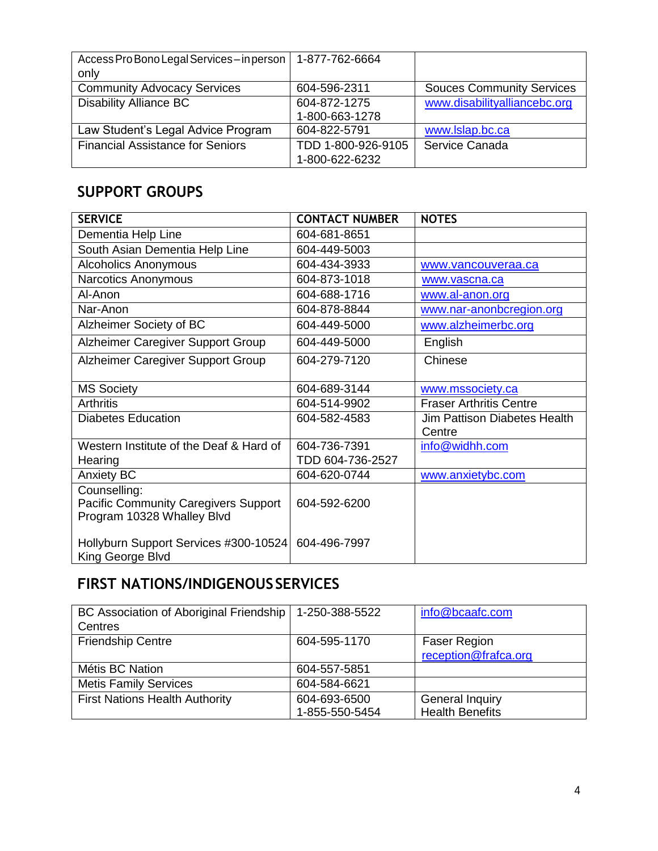| Access Pro Bono Legal Services - in person | 1-877-762-6664     |                                  |
|--------------------------------------------|--------------------|----------------------------------|
| only                                       |                    |                                  |
| <b>Community Advocacy Services</b>         | 604-596-2311       | <b>Souces Community Services</b> |
| <b>Disability Alliance BC</b>              | 604-872-1275       | www.disabilityalliancebc.org     |
|                                            | 1-800-663-1278     |                                  |
| Law Student's Legal Advice Program         | 604-822-5791       | www.lslap.bc.ca                  |
| <b>Financial Assistance for Seniors</b>    | TDD 1-800-926-9105 | Service Canada                   |
|                                            | 1-800-622-6232     |                                  |

### **SUPPORT GROUPS**

| <b>SERVICE</b>                                                                            | <b>CONTACT NUMBER</b> | <b>NOTES</b>                                  |
|-------------------------------------------------------------------------------------------|-----------------------|-----------------------------------------------|
| Dementia Help Line                                                                        | 604-681-8651          |                                               |
| South Asian Dementia Help Line                                                            | 604-449-5003          |                                               |
| <b>Alcoholics Anonymous</b>                                                               | 604-434-3933          | www.vancouveraa.ca                            |
| Narcotics Anonymous                                                                       | 604-873-1018          | www.vascna.ca                                 |
| Al-Anon                                                                                   | 604-688-1716          | www.al-anon.org                               |
| Nar-Anon                                                                                  | 604-878-8844          | www.nar-anonbcregion.org                      |
| Alzheimer Society of BC                                                                   | 604-449-5000          | www.alzheimerbc.org                           |
| Alzheimer Caregiver Support Group                                                         | 604-449-5000          | English                                       |
| Alzheimer Caregiver Support Group                                                         | 604-279-7120          | Chinese                                       |
| <b>MS Society</b>                                                                         | 604-689-3144          | www.mssociety.ca                              |
| <b>Arthritis</b>                                                                          | 604-514-9902          | <b>Fraser Arthritis Centre</b>                |
| <b>Diabetes Education</b>                                                                 | 604-582-4583          | <b>Jim Pattison Diabetes Health</b><br>Centre |
| Western Institute of the Deaf & Hard of                                                   | 604-736-7391          | info@widhh.com                                |
| Hearing                                                                                   | TDD 604-736-2527      |                                               |
| <b>Anxiety BC</b>                                                                         | 604-620-0744          | www.anxietybc.com                             |
| Counselling:<br><b>Pacific Community Caregivers Support</b><br>Program 10328 Whalley Blvd | 604-592-6200          |                                               |
| Hollyburn Support Services #300-10524<br>King George Blvd                                 | 604-496-7997          |                                               |

## **FIRST NATIONS/INDIGENOUS SERVICES**

| BC Association of Aboriginal Friendship | 1-250-388-5522 | info@bcaafc.com        |
|-----------------------------------------|----------------|------------------------|
| Centres                                 |                |                        |
| <b>Friendship Centre</b>                | 604-595-1170   | <b>Faser Region</b>    |
|                                         |                | reception@frafca.org   |
| Métis BC Nation                         | 604-557-5851   |                        |
| <b>Metis Family Services</b>            | 604-584-6621   |                        |
| <b>First Nations Health Authority</b>   | 604-693-6500   | <b>General Inquiry</b> |
|                                         | 1-855-550-5454 | <b>Health Benefits</b> |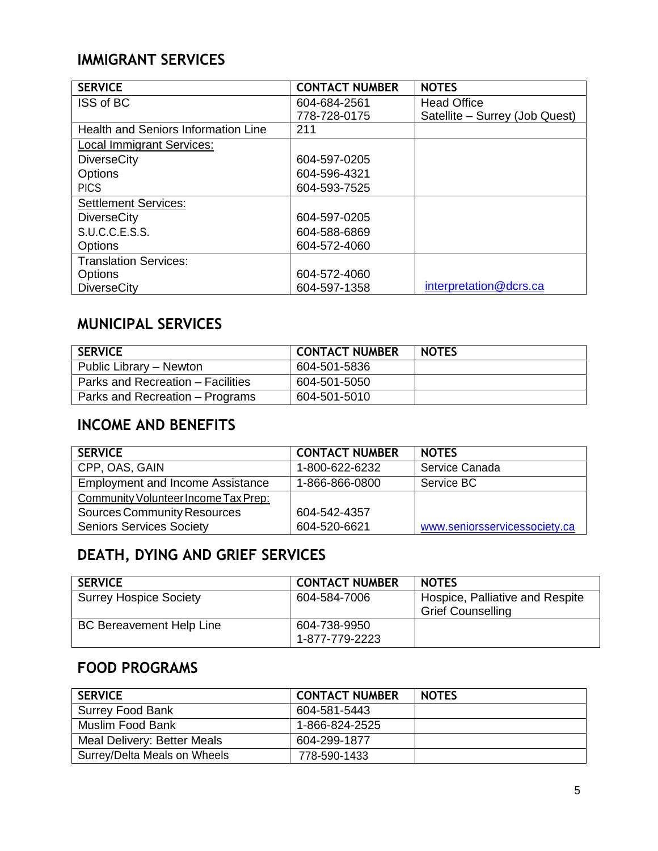#### **IMMIGRANT SERVICES**

| <b>SERVICE</b>                      | <b>CONTACT NUMBER</b> | <b>NOTES</b>                   |
|-------------------------------------|-----------------------|--------------------------------|
| ISS of BC                           | 604-684-2561          | <b>Head Office</b>             |
|                                     | 778-728-0175          | Satellite - Surrey (Job Quest) |
| Health and Seniors Information Line | 211                   |                                |
| <b>Local Immigrant Services:</b>    |                       |                                |
| <b>DiverseCity</b>                  | 604-597-0205          |                                |
| <b>Options</b>                      | 604-596-4321          |                                |
| <b>PICS</b>                         | 604-593-7525          |                                |
| <b>Settlement Services:</b>         |                       |                                |
| <b>DiverseCity</b>                  | 604-597-0205          |                                |
| S.U.C.C.E.S.S.                      | 604-588-6869          |                                |
| <b>Options</b>                      | 604-572-4060          |                                |
| <b>Translation Services:</b>        |                       |                                |
| <b>Options</b>                      | 604-572-4060          |                                |
| <b>DiverseCity</b>                  | 604-597-1358          | interpretation@dcrs.ca         |

## **MUNICIPAL SERVICES**

| <b>SERVICE</b>                    | <b>CONTACT NUMBER</b> | <b>NOTES</b> |
|-----------------------------------|-----------------------|--------------|
| Public Library - Newton           | 604-501-5836          |              |
| Parks and Recreation - Facilities | 604-501-5050          |              |
| Parks and Recreation – Programs   | 604-501-5010          |              |

### **INCOME AND BENEFITS**

| <b>SERVICE</b>                          | <b>CONTACT NUMBER</b> | <b>NOTES</b>                  |
|-----------------------------------------|-----------------------|-------------------------------|
| CPP, OAS, GAIN                          | 1-800-622-6232        | Service Canada                |
| <b>Employment and Income Assistance</b> | 1-866-866-0800        | Service BC                    |
| Community Volunteer Income Tax Prep:    |                       |                               |
| <b>Sources Community Resources</b>      | 604-542-4357          |                               |
| <b>Seniors Services Society</b>         | 604-520-6621          | www.seniorsservicessociety.ca |

# **DEATH, DYING AND GRIEF SERVICES**

| <b>SERVICE</b>                  | <b>CONTACT NUMBER</b>          | <b>NOTES</b>                                                |
|---------------------------------|--------------------------------|-------------------------------------------------------------|
| <b>Surrey Hospice Society</b>   | 604-584-7006                   | Hospice, Palliative and Respite<br><b>Grief Counselling</b> |
| <b>BC Bereavement Help Line</b> | 604-738-9950<br>1-877-779-2223 |                                                             |

### **FOOD PROGRAMS**

| <b>SERVICE</b>               | <b>CONTACT NUMBER</b> | <b>NOTES</b> |
|------------------------------|-----------------------|--------------|
| <b>Surrey Food Bank</b>      | 604-581-5443          |              |
| Muslim Food Bank             | 1-866-824-2525        |              |
| Meal Delivery: Better Meals  | 604-299-1877          |              |
| Surrey/Delta Meals on Wheels | 778-590-1433          |              |